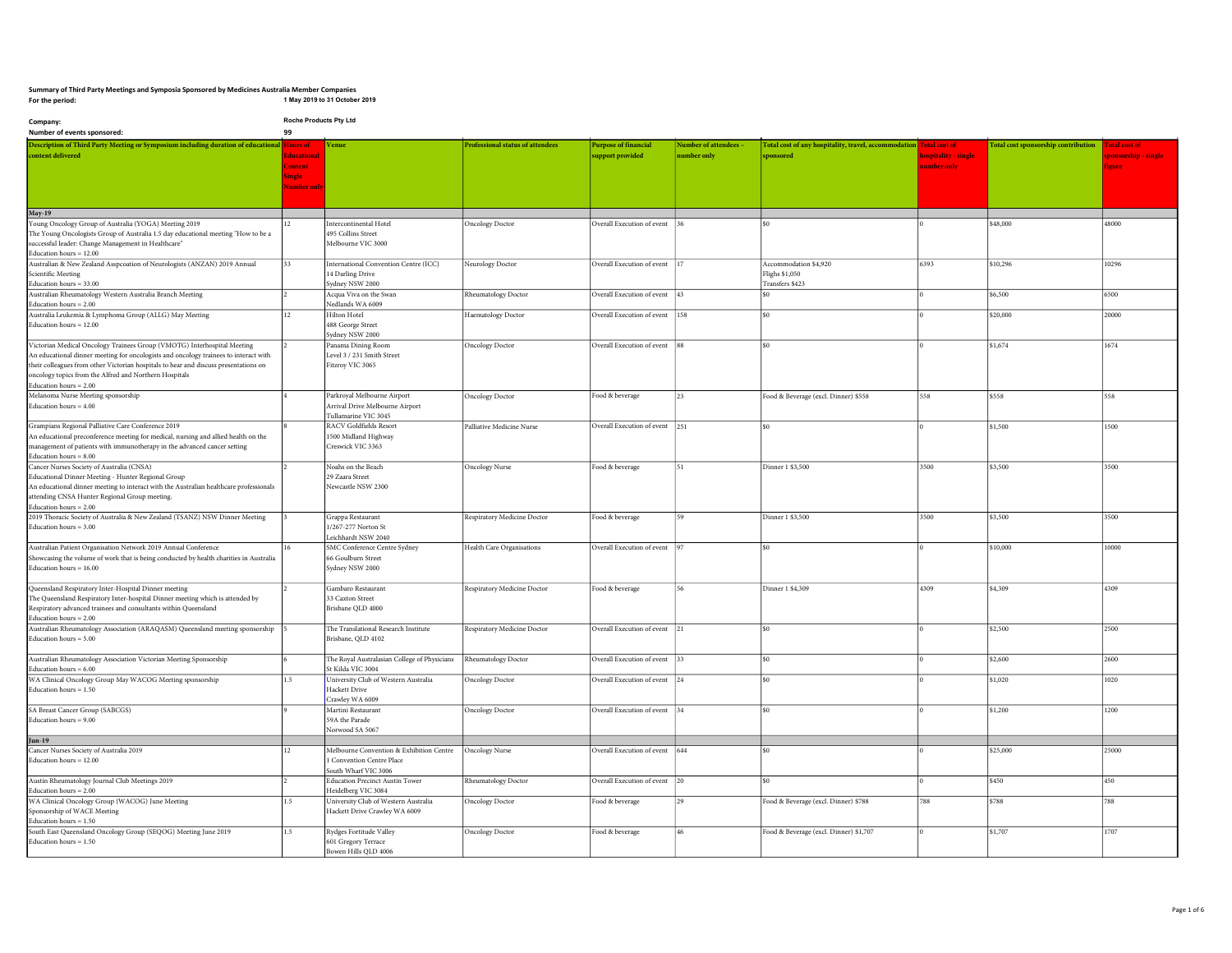## Summary of Third Party Meetings and Symposia Sponsored by Medicines Australia Member Companies For the period: 1 May 2019 to 31 October 2019

| Company:                                                                                                                              | Roche Products Pty Ltd |                                                                |                                         |                                |                       |                                                                    |                     |                                            |                     |
|---------------------------------------------------------------------------------------------------------------------------------------|------------------------|----------------------------------------------------------------|-----------------------------------------|--------------------------------|-----------------------|--------------------------------------------------------------------|---------------------|--------------------------------------------|---------------------|
| Number of events sponsored:                                                                                                           | 99                     |                                                                |                                         |                                |                       |                                                                    |                     |                                            |                     |
| Description of Third Party Meeting or Symposium including duration of educational Hours of                                            |                        | enue                                                           | <b>Professional status of attendees</b> | <b>Purpose of financial</b>    | Number of attendees - | Total cost of any hospitality, travel, accommodation Total cost of |                     | <b>Total cost sponsorship contribution</b> | otal cost of        |
| content delivered                                                                                                                     | ducation               |                                                                |                                         | support provided               | number only           | sponsored                                                          | ospitality - single |                                            | ponsorship - single |
|                                                                                                                                       | <b>Content</b>         |                                                                |                                         |                                |                       |                                                                    | umber only          |                                            | oure                |
|                                                                                                                                       | single                 |                                                                |                                         |                                |                       |                                                                    |                     |                                            |                     |
|                                                                                                                                       | lumber on              |                                                                |                                         |                                |                       |                                                                    |                     |                                            |                     |
|                                                                                                                                       |                        |                                                                |                                         |                                |                       |                                                                    |                     |                                            |                     |
| <b>May-19</b>                                                                                                                         |                        |                                                                |                                         |                                |                       |                                                                    |                     |                                            |                     |
| Young Oncology Group of Australia (YOGA) Meeting 2019                                                                                 | 12.                    | Intercontinental Hotel                                         | <b>Oncology Doctor</b>                  | Overall Execution of event     |                       | lso                                                                |                     | \$48.000                                   | 48000               |
| The Young Oncologists Group of Australia 1.5 day educational meeting "How to be a                                                     |                        | 495 Collins Street                                             |                                         |                                |                       |                                                                    |                     |                                            |                     |
| successful leader: Change Management in Healthcare"                                                                                   |                        | Melbourne VIC 3000                                             |                                         |                                |                       |                                                                    |                     |                                            |                     |
| Education hours = 12.00                                                                                                               |                        |                                                                |                                         |                                |                       |                                                                    |                     |                                            |                     |
| Australian & New Zealand Asspcoation of Neurologists (ANZAN) 2019 Annual                                                              | 33                     | International Convention Centre (ICC)                          | Neurology Doctor                        | Overall Execution of event  17 |                       | Accommodation \$4,920                                              | 6393                | \$10,296                                   | 10296               |
| Scientific Meeting                                                                                                                    |                        | 14 Darling Drive                                               |                                         |                                |                       | Flighs \$1,050                                                     |                     |                                            |                     |
| Education hours $= 33.00$<br>Australian Rheumatology Western Australia Branch Meeting                                                 |                        | Sydney NSW 2000<br>Acqua Viva on the Swan                      | Rheumatology Doctor                     | Overall Execution of event 43  |                       | Transfers \$423<br>lso.                                            |                     | \$6,500                                    | 6500                |
| Education hours = 2.00                                                                                                                |                        | Nedlands WA 6009                                               |                                         |                                |                       |                                                                    |                     |                                            |                     |
| Australia Leukemia & Lymphoma Group (ALLG) May Meeting                                                                                | 12.                    | Hilton Hotel                                                   | Haematology Doctor                      | Overall Execution of event 158 |                       | s0                                                                 |                     | \$20,000                                   | 20000               |
| Education hours = 12.00                                                                                                               |                        | 488 George Street                                              |                                         |                                |                       |                                                                    |                     |                                            |                     |
|                                                                                                                                       |                        | Sydney NSW 2000                                                |                                         |                                |                       |                                                                    |                     |                                            |                     |
| Victorian Medical Oncology Trainees Group (VMOTG) Interhospital Meeting                                                               |                        | Panama Dining Room                                             | <b>Oncology Doctor</b>                  | Overall Execution of event 88  |                       | lso                                                                |                     | \$1,674                                    | 1674                |
| An educational dinner meeting for oncologists and oncology trainees to interact with                                                  |                        | Level 3 / 231 Smith Street                                     |                                         |                                |                       |                                                                    |                     |                                            |                     |
| their colleagues from other Victorian hospitals to hear and discuss presentations on                                                  |                        | Fitzroy VIC 3065                                               |                                         |                                |                       |                                                                    |                     |                                            |                     |
| oncology topics from the Alfred and Northern Hospitals                                                                                |                        |                                                                |                                         |                                |                       |                                                                    |                     |                                            |                     |
| Education hours = 2.00<br>Melanoma Nurse Meeting sponsorship                                                                          |                        |                                                                |                                         |                                | 23                    |                                                                    | 558                 | \$558                                      |                     |
| Education hours $= 4.00$                                                                                                              |                        | Parkroyal Melbourne Airport<br>Arrival Drive Melbourne Airport | <b>Oncology Doctor</b>                  | Food & beverage                |                       | Food & Beverage (excl. Dinner) \$558                               |                     |                                            | 558                 |
|                                                                                                                                       |                        | Tullamarine VIC 3045                                           |                                         |                                |                       |                                                                    |                     |                                            |                     |
| Grampians Regional Palliative Care Conference 2019                                                                                    |                        | RACV Goldfields Resort                                         | Palliative Medicine Nurse               | Overall Execution of event 251 |                       | lso                                                                |                     | \$1,500                                    | 1500                |
| An educational preconference meeting for medical, nursing and allied health on the                                                    |                        | 1500 Midland Highway                                           |                                         |                                |                       |                                                                    |                     |                                            |                     |
| management of patients with immunotherapy in the advanced cancer setting                                                              |                        | Creswick VIC 3363                                              |                                         |                                |                       |                                                                    |                     |                                            |                     |
| Education hours $= 8.00$                                                                                                              |                        |                                                                |                                         |                                |                       |                                                                    |                     |                                            |                     |
| Cancer Nurses Society of Australia (CNSA)                                                                                             |                        | Noahs on the Beach                                             | <b>Oncology Nurse</b>                   | Food & beverage                | 51                    | Dinner 1 \$3,500                                                   | 3500                | \$3,500                                    | 3500                |
| Educational Dinner Meeting - Hunter Regional Group                                                                                    |                        | 29 Zaara Street                                                |                                         |                                |                       |                                                                    |                     |                                            |                     |
| An educational dinner meeting to interact with the Australian healthcare professionals                                                |                        | Newcastle NSW 2300                                             |                                         |                                |                       |                                                                    |                     |                                            |                     |
| attending CNSA Hunter Regional Group meeting.<br>Education hours $= 2.00$                                                             |                        |                                                                |                                         |                                |                       |                                                                    |                     |                                            |                     |
| 2019 Thoracic Society of Australia & New Zealand (TSANZ) NSW Dinner Meeting                                                           |                        | Grappa Restaurant                                              | Respiratory Medicine Doctor             | Food & beverage                | 59                    | Dinner 1 \$3,500                                                   | 3500                | \$3,500                                    | 3500                |
| Education hours = $3.00$                                                                                                              |                        | 1/267-277 Norton St                                            |                                         |                                |                       |                                                                    |                     |                                            |                     |
|                                                                                                                                       |                        | Leichhardt NSW 2040                                            |                                         |                                |                       |                                                                    |                     |                                            |                     |
| Australian Patient Organisation Network 2019 Annual Conference                                                                        |                        | SMC Conference Centre Sydney                                   | Health Care Organisations               | Overall Execution of event     | 97                    | lso                                                                |                     | \$10,000                                   | 10000               |
| Showcasing the volume of work that is being conducted by health charities in Australia                                                |                        | 66 Goulburn Street                                             |                                         |                                |                       |                                                                    |                     |                                            |                     |
| Education hours = $16.00$                                                                                                             |                        | Sydney NSW 2000                                                |                                         |                                |                       |                                                                    |                     |                                            |                     |
|                                                                                                                                       |                        |                                                                |                                         |                                |                       |                                                                    |                     |                                            |                     |
| Queensland Respiratory Inter-Hospital Dinner meeting<br>The Queensland Respiratory Inter-hospital Dinner meeting which is attended by |                        | Gambaro Restaurant<br>33 Caxton Street                         | Respiratory Medicine Doctor             | Food & beverage                | 56                    | Dinner 1 \$4,309                                                   | 4309                | \$4,309                                    | 4309                |
| Respiratory advanced trainees and consultants within Queensland                                                                       |                        | Brisbane QLD 4000                                              |                                         |                                |                       |                                                                    |                     |                                            |                     |
| Education hours $= 2.00$                                                                                                              |                        |                                                                |                                         |                                |                       |                                                                    |                     |                                            |                     |
| Australian Rheumatology Association (ARAQASM) Queensland meeting sponsorship                                                          |                        | The Translational Research Institute                           | Respiratory Medicine Doctor             | Overall Execution of event 21  |                       | lso                                                                |                     | \$2,500                                    | 2500                |
| Education hours = 5.00                                                                                                                |                        | Brisbane, QLD 4102                                             |                                         |                                |                       |                                                                    |                     |                                            |                     |
|                                                                                                                                       |                        |                                                                |                                         |                                |                       |                                                                    |                     |                                            |                     |
| Australian Rheumatology Association Victorian Meeting Sponsorship                                                                     |                        | The Royal Australasian College of Physicians                   | Rheumatology Doctor                     | Overall Execution of event 33  |                       | lso                                                                |                     | \$2,600                                    | 2600                |
| Education hours $= 6.00$                                                                                                              |                        | St Kilda VIC 3004                                              |                                         |                                |                       |                                                                    |                     |                                            |                     |
| WA Clinical Oncology Group May WACOG Meeting sponsorship                                                                              | 1.5                    | University Club of Western Australia                           | <b>Oncology Doctor</b>                  | Overall Execution of event 24  |                       | s <sub>0</sub>                                                     |                     | \$1,020                                    | 1020                |
| Education hours $= 1.50$                                                                                                              |                        | Hackett Drive<br>Crawley WA 6009                               |                                         |                                |                       |                                                                    |                     |                                            |                     |
| SA Breast Cancer Group (SABCGS)                                                                                                       |                        | Martini Restaurant                                             | <b>Oncology Doctor</b>                  | Overall Execution of event     | 34                    | $ $ \$0                                                            |                     | \$1,200                                    | 1200                |
| Education hours $= 9.00$                                                                                                              |                        | 59A the Parade                                                 |                                         |                                |                       |                                                                    |                     |                                            |                     |
|                                                                                                                                       |                        | Norwood SA 5067                                                |                                         |                                |                       |                                                                    |                     |                                            |                     |
| Jun-19                                                                                                                                |                        |                                                                |                                         |                                |                       |                                                                    |                     |                                            |                     |
| Cancer Nurses Society of Australia 2019                                                                                               | 12.                    | Melbourne Convention & Exhibition Centre                       | <b>Oncology Nurse</b>                   | Overall Execution of event 644 |                       | lso                                                                |                     | \$25,000                                   | 25000               |
| Education hours = 12.00                                                                                                               |                        | 1 Convention Centre Place                                      |                                         |                                |                       |                                                                    |                     |                                            |                     |
|                                                                                                                                       |                        | South Wharf VIC 3006                                           |                                         |                                |                       |                                                                    |                     |                                            |                     |
| Austin Rheumatology Journal Club Meetings 2019                                                                                        |                        | <b>Education Precinct Austin Tower</b>                         | Rheumatology Doctor                     | Overall Execution of event 20  |                       | $ $ \$0                                                            |                     | \$450                                      | 450                 |
| Education hours = 2.00<br>WA Clinical Oncology Group (WACOG) June Meeting                                                             | 1.5                    | Heidelberg VIC 3084<br>University Club of Western Australia    | <b>Oncology Doctor</b>                  | Food & beverage                | 29                    | Food & Beverage (excl. Dinner) \$788                               | 788                 | \$788                                      | 788                 |
| Sponsorship of WACE Meeting                                                                                                           |                        | Hackett Drive Crawley WA 6009                                  |                                         |                                |                       |                                                                    |                     |                                            |                     |
| Education hours $= 1.50$                                                                                                              |                        |                                                                |                                         |                                |                       |                                                                    |                     |                                            |                     |
| South East Queensland Oncology Group (SEQOG) Meeting June 2019                                                                        | 1.5                    | Rydges Fortitude Valley                                        | <b>Oncology Doctor</b>                  | Food & beverage                |                       | Food & Beverage (excl. Dinner) \$1,707                             |                     | \$1,707                                    | 1707                |
| Education hours $= 1.50$                                                                                                              |                        | 601 Gregory Terrace                                            |                                         |                                |                       |                                                                    |                     |                                            |                     |
|                                                                                                                                       |                        | Bowen Hills QLD 4006                                           |                                         |                                |                       |                                                                    |                     |                                            |                     |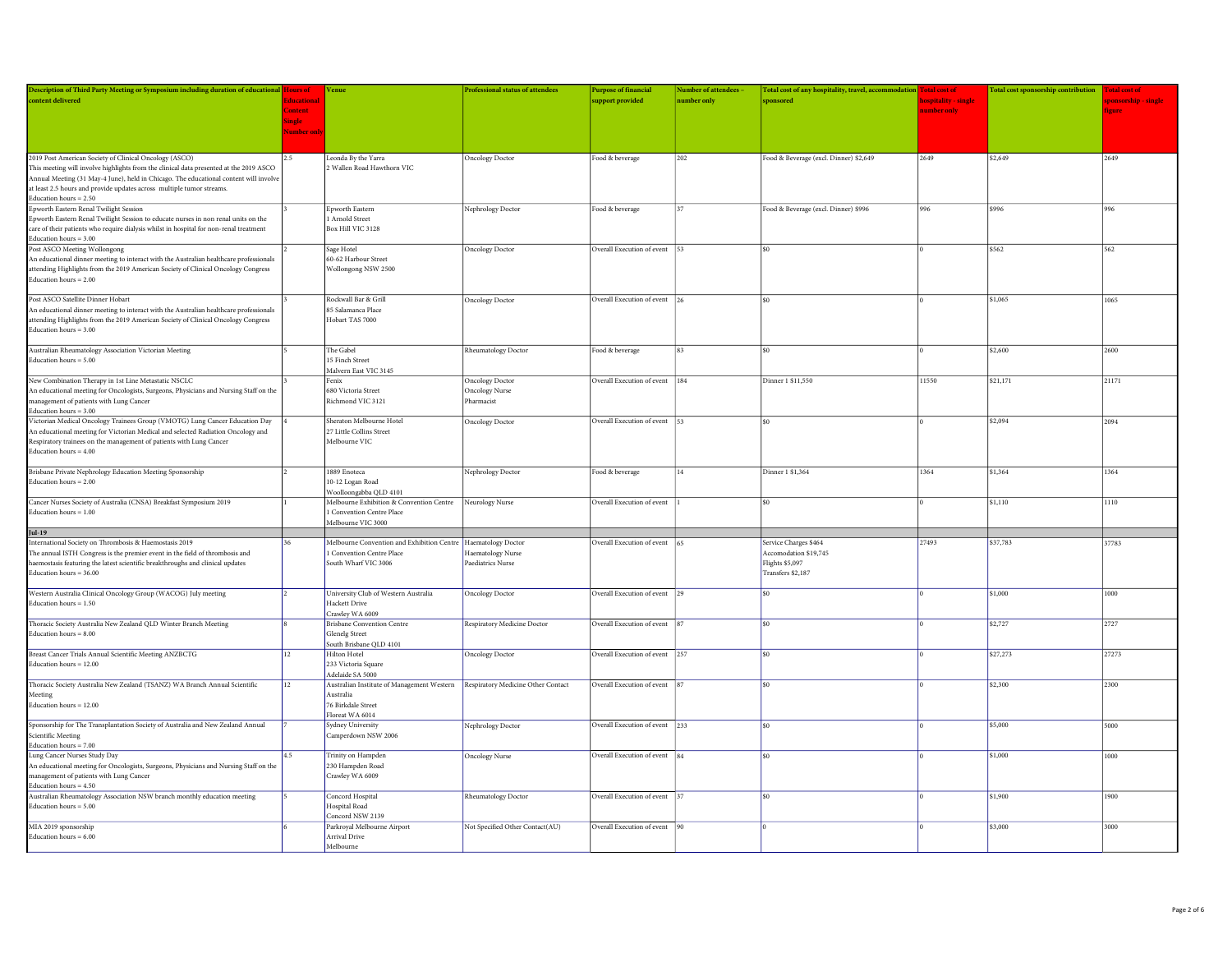| Description of Third Party Meeting or Symposium including duration of educational Hours of                    |                   | Venue                                                                           | Professional status of attendees | <b>Purpose of financial</b>    | <b>Number of attendees</b> | Total cost of any hospitality, travel, accommodation Total cost of |                      | Total cost sponsorship contribution Total cost of |            |
|---------------------------------------------------------------------------------------------------------------|-------------------|---------------------------------------------------------------------------------|----------------------------------|--------------------------------|----------------------------|--------------------------------------------------------------------|----------------------|---------------------------------------------------|------------|
| content delivered                                                                                             | Educational       |                                                                                 |                                  | upport provided                | number only                | sponsored                                                          | hospitality - single |                                                   | ponsorship |
|                                                                                                               | <b>Content</b>    |                                                                                 |                                  |                                |                            |                                                                    | number only          |                                                   | figure     |
|                                                                                                               | <b>Single</b>     |                                                                                 |                                  |                                |                            |                                                                    |                      |                                                   |            |
|                                                                                                               | <b>Vumber onl</b> |                                                                                 |                                  |                                |                            |                                                                    |                      |                                                   |            |
|                                                                                                               |                   |                                                                                 |                                  |                                |                            |                                                                    |                      |                                                   |            |
|                                                                                                               |                   |                                                                                 |                                  |                                |                            |                                                                    |                      |                                                   |            |
| 2019 Post American Society of Clinical Oncology (ASCO)                                                        | 25                | Leonda By the Yarra                                                             | Oncology Doctor                  | Food & beverage                | 202                        | Food & Beverage (excl. Dinner) \$2,649                             | 2649                 | \$2,649                                           | 2649       |
| This meeting will involve highlights from the clinical data presented at the 2019 ASCO                        |                   | 2 Wallen Road Hawthorn VIC                                                      |                                  |                                |                            |                                                                    |                      |                                                   |            |
| Annual Meeting (31 May-4 June), held in Chicago. The educational content will involve                         |                   |                                                                                 |                                  |                                |                            |                                                                    |                      |                                                   |            |
| at least 2.5 hours and provide updates across multiple tumor streams.                                         |                   |                                                                                 |                                  |                                |                            |                                                                    |                      |                                                   |            |
| Education hours $= 2.50$                                                                                      |                   |                                                                                 |                                  |                                |                            |                                                                    |                      |                                                   |            |
| Epworth Eastern Renal Twilight Session                                                                        |                   | Epworth Eastern                                                                 | Nephrology Doctor                | Food & beverage                | 37                         | Food & Beverage (excl. Dinner) \$996                               | 996                  | \$996                                             | 996        |
| Epworth Eastern Renal Twilight Session to educate nurses in non renal units on the                            |                   | 1 Arnold Street                                                                 |                                  |                                |                            |                                                                    |                      |                                                   |            |
| care of their patients who require dialysis whilst in hospital for non-renal treatment                        |                   | Box Hill VIC 3128                                                               |                                  |                                |                            |                                                                    |                      |                                                   |            |
| Education hours $= 3.00$                                                                                      |                   |                                                                                 |                                  |                                |                            |                                                                    |                      |                                                   |            |
| Post ASCO Meeting Wollongong                                                                                  |                   | Sage Hotel                                                                      | <b>Oncology Doctor</b>           | Overall Execution of event     |                            |                                                                    |                      | \$562                                             | 562        |
| An educational dinner meeting to interact with the Australian healthcare professionals                        |                   | 60-62 Harbour Street                                                            |                                  |                                |                            |                                                                    |                      |                                                   |            |
| attending Highlights from the 2019 American Society of Clinical Oncology Congress                             |                   | Wollongong NSW 2500                                                             |                                  |                                |                            |                                                                    |                      |                                                   |            |
| Education hours $= 2.00$                                                                                      |                   |                                                                                 |                                  |                                |                            |                                                                    |                      |                                                   |            |
| Post ASCO Satellite Dinner Hobart                                                                             |                   | Rockwall Bar & Grill                                                            |                                  |                                |                            | \$0                                                                |                      |                                                   | 1065       |
|                                                                                                               |                   | 85 Salamanca Place                                                              | Oncology Doctor                  | Overall Execution of event 26  |                            |                                                                    |                      | \$1,065                                           |            |
| An educational dinner meeting to interact with the Australian healthcare professionals                        |                   | Hobart TAS 7000                                                                 |                                  |                                |                            |                                                                    |                      |                                                   |            |
| attending Highlights from the 2019 American Society of Clinical Oncology Congress<br>Education hours $= 3.00$ |                   |                                                                                 |                                  |                                |                            |                                                                    |                      |                                                   |            |
|                                                                                                               |                   |                                                                                 |                                  |                                |                            |                                                                    |                      |                                                   |            |
| Australian Rheumatology Association Victorian Meeting                                                         |                   | The Gabel                                                                       | Rheumatology Doctor              | Food & beverage                | 83                         | \$0\$                                                              |                      | \$2,600                                           | 2600       |
| Education hours $= 5.00$                                                                                      |                   | 15 Finch Street                                                                 |                                  |                                |                            |                                                                    |                      |                                                   |            |
|                                                                                                               |                   | Malvern East VIC 3145                                                           |                                  |                                |                            |                                                                    |                      |                                                   |            |
| New Combination Therapy in 1st Line Metastatic NSCLC                                                          |                   | Fenix                                                                           | Oncology Doctor                  | Overall Execution of event     | 184                        | Dinner 1 \$11,550                                                  | 11550                | \$21,171                                          | 21171      |
| An educational meeting for Oncologists, Surgeons, Physicians and Nursing Staff on the                         |                   | 680 Victoria Street                                                             | Oncology Nurse                   |                                |                            |                                                                    |                      |                                                   |            |
| management of patients with Lung Cancer                                                                       |                   | Richmond VIC 3121                                                               | Pharmacist                       |                                |                            |                                                                    |                      |                                                   |            |
| Education hours $= 3.00$                                                                                      |                   |                                                                                 |                                  |                                |                            |                                                                    |                      |                                                   |            |
| Victorian Medical Oncology Trainees Group (VMOTG) Lung Cancer Education Day                                   |                   | Sheraton Melbourne Hotel                                                        | Oncology Doctor                  | Overall Execution of event 53  |                            | \$0                                                                |                      | \$2,094                                           | 2094       |
| An educational meeting for Victorian Medical and selected Radiation Oncology and                              |                   | 27 Little Collins Street                                                        |                                  |                                |                            |                                                                    |                      |                                                   |            |
| Respiratory trainees on the management of patients with Lung Cancer                                           |                   | Melbourne VIC                                                                   |                                  |                                |                            |                                                                    |                      |                                                   |            |
| Education hours $= 4.00$                                                                                      |                   |                                                                                 |                                  |                                |                            |                                                                    |                      |                                                   |            |
|                                                                                                               |                   |                                                                                 |                                  |                                |                            |                                                                    |                      |                                                   |            |
| Brisbane Private Nephrology Education Meeting Sponsorship                                                     |                   | 1889 Enoteca                                                                    | Nephrology Doctor                | Food & beverage                | 14                         | Dinner 1 \$1,364                                                   | 1364                 | \$1,364                                           | 1364       |
| Education hours $= 2.00$                                                                                      |                   | 10-12 Logan Road                                                                |                                  |                                |                            |                                                                    |                      |                                                   |            |
|                                                                                                               |                   | Woolloongabba QLD 4101                                                          |                                  |                                |                            |                                                                    |                      |                                                   |            |
| Cancer Nurses Society of Australia (CNSA) Breakfast Symposium 2019                                            |                   | Melbourne Exhibition & Convention Centre Neurology Nurse                        |                                  | Overall Execution of event     |                            | \$0                                                                |                      | \$1,110                                           | 1110       |
| Education hours $= 1.00$                                                                                      |                   | <b>Convention Centre Place</b>                                                  |                                  |                                |                            |                                                                    |                      |                                                   |            |
|                                                                                                               |                   | Melbourne VIC 3000                                                              |                                  |                                |                            |                                                                    |                      |                                                   |            |
| Jul-19                                                                                                        |                   |                                                                                 |                                  |                                |                            |                                                                    |                      |                                                   |            |
| International Society on Thrombosis & Haemostasis 2019                                                        |                   | Melbourne Convention and Exhibition Centre  Haematology Doctor                  |                                  | Overall Execution of event     |                            | Service Charges \$464                                              | 27493                | \$37,783                                          | 37783      |
| The annual ISTH Congress is the premier event in the field of thrombosis and                                  |                   | 1 Convention Centre Place                                                       | Haematology Nurse                |                                |                            | Accomodation \$19.745                                              |                      |                                                   |            |
| haemostasis featuring the latest scientific breakthroughs and clinical updates                                |                   | South Wharf VIC 3006                                                            | Paediatrics Nurse                |                                |                            | <b>Flights \$5,097</b>                                             |                      |                                                   |            |
| Education hours = $36,00$                                                                                     |                   |                                                                                 |                                  |                                |                            | Transfers \$2,187                                                  |                      |                                                   |            |
|                                                                                                               |                   |                                                                                 |                                  |                                |                            |                                                                    |                      |                                                   |            |
| Western Australia Clinical Oncology Group (WACOG) July meeting                                                |                   | University Club of Western Australia                                            | Oncology Doctor                  | Overall Execution of event 29  |                            | \$0                                                                |                      | \$1,000                                           | 1000       |
| Education hours $= 1.50$                                                                                      |                   | Hackett Drive                                                                   |                                  |                                |                            |                                                                    |                      |                                                   |            |
|                                                                                                               |                   | Crawley WA 6009                                                                 |                                  |                                |                            |                                                                    |                      |                                                   |            |
| Thoracic Society Australia New Zealand QLD Winter Branch Meeting                                              |                   | <b>Brisbane Convention Centre</b>                                               | Respiratory Medicine Doctor      | Overall Execution of event     |                            | $\sin$                                                             |                      | \$2,727                                           | 2727       |
| Education hours $= 8.00$                                                                                      |                   | <b>Glenelg Street</b>                                                           |                                  |                                |                            |                                                                    |                      |                                                   |            |
|                                                                                                               |                   | South Brisbane QLD 4101                                                         |                                  |                                |                            |                                                                    |                      |                                                   |            |
| Breast Cancer Trials Annual Scientific Meeting ANZBCTG                                                        | 12                | Hilton Hotel                                                                    | Oncology Doctor                  | Overall Execution of event 257 |                            | \$0                                                                |                      | \$27,273                                          | 27273      |
| Education hours $= 12.00$                                                                                     |                   | 233 Victoria Square                                                             |                                  |                                |                            |                                                                    |                      |                                                   |            |
|                                                                                                               |                   | Adelaide SA 5000                                                                |                                  |                                |                            |                                                                    |                      |                                                   |            |
| Thoracic Society Australia New Zealand (TSANZ) WA Branch Annual Scientific                                    | 12                | Australian Institute of Management Western   Respiratory Medicine Other Contact |                                  | Overall Execution of event     |                            | \$0                                                                |                      | \$2,300                                           | 2300       |
| Meeting                                                                                                       |                   | Australia                                                                       |                                  |                                |                            |                                                                    |                      |                                                   |            |
| Education hours $= 12.00$                                                                                     |                   | 76 Birkdale Street                                                              |                                  |                                |                            |                                                                    |                      |                                                   |            |
|                                                                                                               |                   | Floreat WA 6014                                                                 |                                  |                                |                            |                                                                    |                      |                                                   |            |
| Sponsorship for The Transplantation Society of Australia and New Zealand Annual                               |                   | Sydney University                                                               | Nephrology Doctor                | Overall Execution of event 233 |                            | \$0                                                                |                      | \$5,000                                           | 5000       |
| Scientific Meeting                                                                                            |                   | Camperdown NSW 2006                                                             |                                  |                                |                            |                                                                    |                      |                                                   |            |
| Education hours = 7.00                                                                                        |                   |                                                                                 |                                  |                                |                            |                                                                    |                      |                                                   |            |
| Lung Cancer Nurses Study Day                                                                                  | 4.5               | Trinity on Hampden                                                              | Oncology Nurse                   | Overall Execution of event     | 84                         | \$0                                                                |                      | \$1,000                                           | 1000       |
| An educational meeting for Oncologists, Surgeons, Physicians and Nursing Staff on the                         |                   | 230 Hampden Road                                                                |                                  |                                |                            |                                                                    |                      |                                                   |            |
| management of patients with Lung Cancer                                                                       |                   | Crawley WA 6009                                                                 |                                  |                                |                            |                                                                    |                      |                                                   |            |
| Education hours = 4.50                                                                                        |                   |                                                                                 |                                  |                                |                            | \$0                                                                |                      |                                                   |            |
| Australian Rheumatology Association NSW branch monthly education meeting                                      |                   | Concord Hospital                                                                | Rheumatology Doctor              | Overall Execution of event     |                            |                                                                    |                      | \$1,900                                           | 1900       |
| Education hours $= 5.00$                                                                                      |                   | Hospital Road                                                                   |                                  |                                |                            |                                                                    |                      |                                                   |            |
|                                                                                                               |                   | Concord NSW 2139                                                                |                                  |                                |                            |                                                                    |                      |                                                   |            |
| MIA 2019 sponsorship                                                                                          |                   | Parkroyal Melbourne Airport                                                     | Not Specified Other Contact(AU)  | Overall Execution of event     |                            |                                                                    |                      | \$3,000                                           | 3000       |
| Education hours $= 6.00$                                                                                      |                   | Arrival Drive<br>Melbourne                                                      |                                  |                                |                            |                                                                    |                      |                                                   |            |
|                                                                                                               |                   |                                                                                 |                                  |                                |                            |                                                                    |                      |                                                   |            |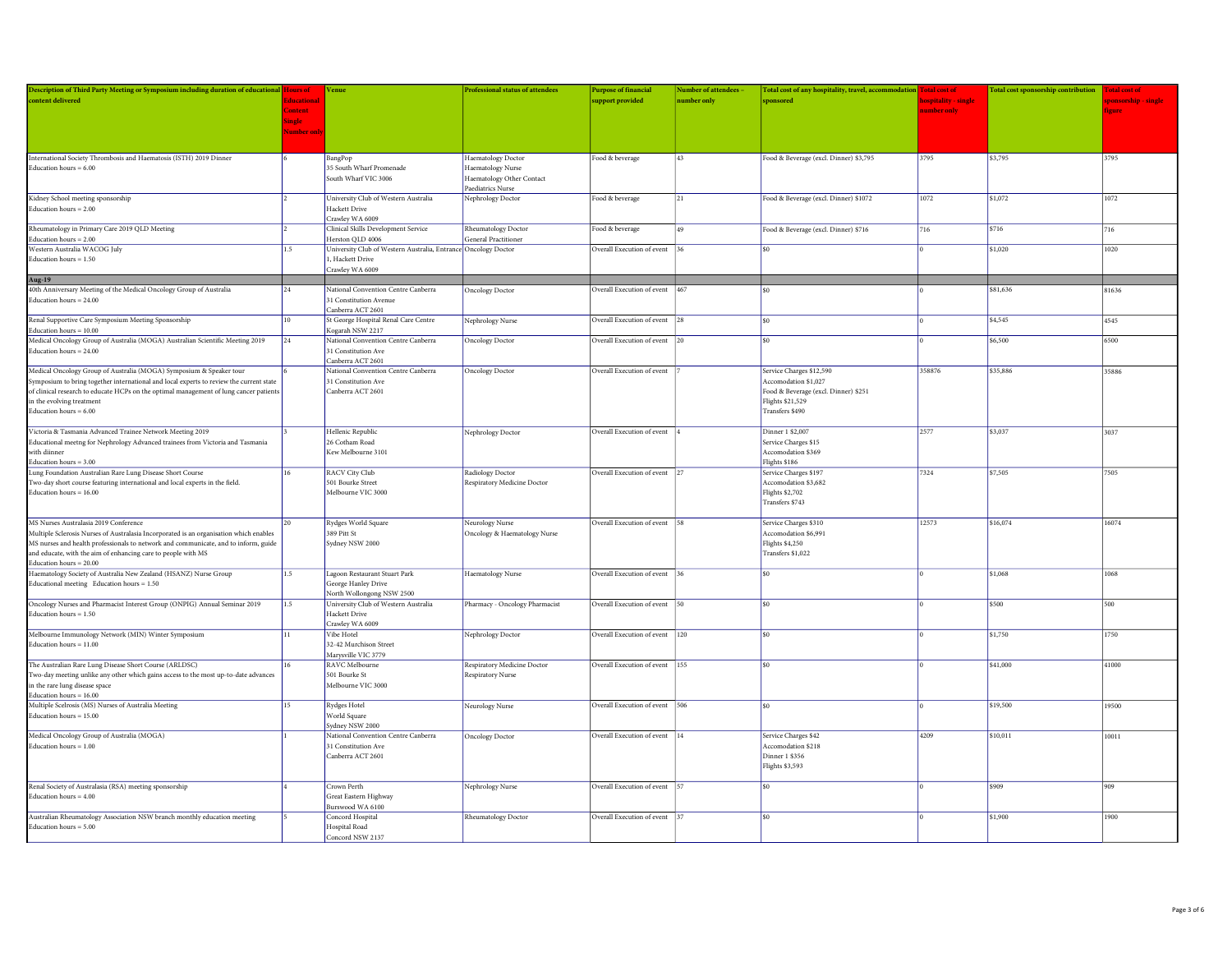| Description of Third Party Meeting or Symposium including duration of educational Hours of                                                  |                   | Venue                                                          | Professional status of attendees | <b>Purpose of financial</b>    | Number of attendees - | Total cost of any hospitality, travel, accommodation Total cost of |                      | Total cost sponsorship contribution Total cost of |             |
|---------------------------------------------------------------------------------------------------------------------------------------------|-------------------|----------------------------------------------------------------|----------------------------------|--------------------------------|-----------------------|--------------------------------------------------------------------|----------------------|---------------------------------------------------|-------------|
| content delivered                                                                                                                           | <b>Educationa</b> |                                                                |                                  | support provided               | number only           | sponsored                                                          | hospitality - single |                                                   | ponsorship. |
|                                                                                                                                             | Content           |                                                                |                                  |                                |                       |                                                                    | number only          |                                                   | ieure       |
|                                                                                                                                             | Single            |                                                                |                                  |                                |                       |                                                                    |                      |                                                   |             |
|                                                                                                                                             | <b>Number</b> on  |                                                                |                                  |                                |                       |                                                                    |                      |                                                   |             |
|                                                                                                                                             |                   |                                                                |                                  |                                |                       |                                                                    |                      |                                                   |             |
| International Society Thrombosis and Haematosis (ISTH) 2019 Dinner                                                                          |                   | BangPop                                                        | Haematology Doctor               | Food & beverage                | 43                    | Food & Beverage (excl. Dinner) \$3,795                             | 3795                 | \$3,795                                           | 3795        |
| Education hours $= 6.00$                                                                                                                    |                   | 35 South Wharf Promenade                                       | Haematology Nurse                |                                |                       |                                                                    |                      |                                                   |             |
|                                                                                                                                             |                   | South Wharf VIC 3006                                           | Haematology Other Contact        |                                |                       |                                                                    |                      |                                                   |             |
|                                                                                                                                             |                   |                                                                | Paediatrics Nurse                |                                |                       |                                                                    |                      |                                                   |             |
| Kidney School meeting sponsorship                                                                                                           |                   | University Club of Western Australia                           | Nephrology Doctor                | Food & beverage                | 21                    | Food & Beverage (excl. Dinner) \$1072                              | 1072                 | \$1,072                                           | 1072        |
| Education hours $= 2.00$                                                                                                                    |                   | <b>Hackett Drive</b>                                           |                                  |                                |                       |                                                                    |                      |                                                   |             |
|                                                                                                                                             |                   | Crawley WA 6009                                                |                                  |                                |                       |                                                                    |                      |                                                   |             |
| Rheumatology in Primary Care 2019 QLD Meeting                                                                                               |                   | Clinical Skills Development Service                            | Rheumatology Doctor              | Food & beverage                | 49                    | Food & Beverage (excl. Dinner) \$716                               | 716                  | \$716                                             | 716         |
| Education hours $= 2.00$                                                                                                                    |                   | Herston QLD 4006                                               | General Practitioner             |                                |                       |                                                                    |                      |                                                   |             |
| Western Australia WACOG July                                                                                                                | 1.5               | University Club of Western Australia, Entrance Oncology Doctor |                                  | Overall Execution of event     | 36                    | \$0                                                                |                      | \$1,020                                           | 1020        |
| Education hours $= 1.50$                                                                                                                    |                   | 1, Hackett Drive                                               |                                  |                                |                       |                                                                    |                      |                                                   |             |
|                                                                                                                                             |                   | Crawley WA 6009                                                |                                  |                                |                       |                                                                    |                      |                                                   |             |
| Aug-19<br>40th Anniversary Meeting of the Medical Oncology Group of Australia                                                               | 24                | National Convention Centre Canberra                            | <b>Oncology Doctor</b>           | Overall Execution of event 467 |                       |                                                                    |                      | \$81,636                                          | 81636       |
| Education hours = 24.00                                                                                                                     |                   | 31 Constitution Avenue                                         |                                  |                                |                       |                                                                    |                      |                                                   |             |
|                                                                                                                                             |                   | Canberra ACT 2601                                              |                                  |                                |                       |                                                                    |                      |                                                   |             |
| Renal Supportive Care Symposium Meeting Sponsorship                                                                                         | 10                | St George Hospital Renal Care Centre                           | Nephrology Nurse                 | Overall Execution of event 28  |                       | ¢۵                                                                 |                      | \$4,545                                           | 4545        |
| Education hours = $10.00$                                                                                                                   |                   | Kogarah NSW 2217                                               |                                  |                                |                       |                                                                    |                      |                                                   |             |
| Medical Oncology Group of Australia (MOGA) Australian Scientific Meeting 2019                                                               | 24                | National Convention Centre Canberra                            | <b>Oncology Doctor</b>           | Overall Execution of event 20  |                       | \$0                                                                |                      | \$6,500                                           | 6500        |
| Education hours = 24.00                                                                                                                     |                   | 31 Constitution Ave                                            |                                  |                                |                       |                                                                    |                      |                                                   |             |
|                                                                                                                                             |                   | Canberra ACT 2601                                              |                                  |                                |                       |                                                                    |                      |                                                   |             |
| Medical Oncology Group of Australia (MOGA) Symposium & Speaker tour                                                                         |                   | National Convention Centre Canberra                            | <b>Oncology Doctor</b>           | Overall Execution of event     |                       | Service Charges \$12,590                                           | 358876               | \$35,886                                          | 35886       |
| Symposium to bring together international and local experts to review the current state                                                     |                   | 31 Constitution Ave                                            |                                  |                                |                       | Accomodation \$1,027                                               |                      |                                                   |             |
| of clinical research to educate HCPs on the optimal management of lung cancer patients                                                      |                   | Canberra ACT 2601                                              |                                  |                                |                       | Food & Beverage (excl. Dinner) \$251                               |                      |                                                   |             |
| in the evolving treatment                                                                                                                   |                   |                                                                |                                  |                                |                       | Flights \$21,529                                                   |                      |                                                   |             |
| Education hours $= 6.00$                                                                                                                    |                   |                                                                |                                  |                                |                       | Transfers \$490                                                    |                      |                                                   |             |
|                                                                                                                                             |                   |                                                                |                                  |                                |                       |                                                                    |                      |                                                   |             |
| Victoria & Tasmania Advanced Trainee Network Meeting 2019<br>Educational meetng for Nephrology Advanced trainees from Victoria and Tasmania |                   | Hellenic Republic<br>26 Cotham Road                            | Nephrology Doctor                | Overall Execution of event     |                       | Dinner 1 \$2,007<br>Service Charges \$15                           | 2577                 | \$3,037                                           | 3037        |
| with diinner                                                                                                                                |                   | Kew Melbourne 3101                                             |                                  |                                |                       | Accomodation \$369                                                 |                      |                                                   |             |
| Education hours = $3.00$                                                                                                                    |                   |                                                                |                                  |                                |                       | Flights \$186                                                      |                      |                                                   |             |
| Lung Foundation Australian Rare Lung Disease Short Course                                                                                   | 16                | RACV City Club                                                 | Radiology Doctor                 | Overall Execution of event 27  |                       | Service Charges \$197                                              | 7324                 | \$7,505                                           | 7505        |
| Two-day short course featuring international and local experts in the field.                                                                |                   | 501 Bourke Street                                              | Respiratory Medicine Doctor      |                                |                       | Accomodation \$3,682                                               |                      |                                                   |             |
| Education hours = $16.00$                                                                                                                   |                   | Melbourne VIC 3000                                             |                                  |                                |                       | <b>Flights \$2,702</b>                                             |                      |                                                   |             |
|                                                                                                                                             |                   |                                                                |                                  |                                |                       | Transfers \$743                                                    |                      |                                                   |             |
|                                                                                                                                             |                   |                                                                |                                  |                                |                       |                                                                    |                      |                                                   |             |
| MS Nurses Australasia 2019 Conference                                                                                                       | 20                | Rydges World Square                                            | Neurology Nurse                  | Overall Execution of event 58  |                       | Service Charges \$310                                              | 12573                | \$16,074                                          | 16074       |
| Multiple Sclerosis Nurses of Australasia Incorporated is an organisation which enables                                                      |                   | 389 Pitt St                                                    | Oncology & Haematology Nurse     |                                |                       | Accomodation \$6,991                                               |                      |                                                   |             |
| MS nurses and health professionals to network and communicate, and to inform, guide                                                         |                   | Sydney NSW 2000                                                |                                  |                                |                       | <b>Flights \$4,250</b>                                             |                      |                                                   |             |
| and educate, with the aim of enhancing care to people with MS                                                                               |                   |                                                                |                                  |                                |                       | Transfers \$1,022                                                  |                      |                                                   |             |
| Education hours $= 20.00$<br>Haematology Society of Australia New Zealand (HSANZ) Nurse Group                                               | 1.5               | Lagoon Restaurant Stuart Park                                  | Haematology Nurse                | Overall Execution of event 36  |                       | \$0                                                                |                      | \$1,068                                           | 1068        |
| Educational meeting Education hours = 1.50                                                                                                  |                   | George Hanley Drive                                            |                                  |                                |                       |                                                                    |                      |                                                   |             |
|                                                                                                                                             |                   | North Wollongong NSW 2500                                      |                                  |                                |                       |                                                                    |                      |                                                   |             |
| Oncology Nurses and Pharmacist Interest Group (ONPIG) Annual Seminar 2019                                                                   | 1.5               | University Club of Western Australia                           | Pharmacy - Oncology Pharmacist   | Overall Execution of event 50  |                       | \$0                                                                |                      | \$500                                             | 500         |
| Education hours = 1.50                                                                                                                      |                   | Hackett Drive                                                  |                                  |                                |                       |                                                                    |                      |                                                   |             |
|                                                                                                                                             |                   | Crawley WA 6009                                                |                                  |                                |                       |                                                                    |                      |                                                   |             |
| Melbourne Immunology Network (MIN) Winter Symposium                                                                                         | 11.               | Vibe Hotel                                                     | Nephrology Doctor                | Overall Execution of event 120 |                       | ¢۵                                                                 |                      | \$1,750                                           | 1750        |
| Education hours $= 11.00$                                                                                                                   |                   | 32-42 Murchison Street                                         |                                  |                                |                       |                                                                    |                      |                                                   |             |
|                                                                                                                                             |                   | Marysville VIC 3779                                            |                                  |                                |                       |                                                                    |                      |                                                   |             |
| The Australian Rare Lung Disease Short Course (ARLDSC)                                                                                      | 16                | RAVC Melbourne                                                 | Respiratory Medicine Doctor      | Overall Execution of event 155 |                       | ¢۵                                                                 |                      | \$41,000                                          | 41000       |
| Two-day meeting unlike any other which gains access to the most up-to-date advances                                                         |                   | 501 Bourke St                                                  | Respiratory Nurse                |                                |                       |                                                                    |                      |                                                   |             |
| in the rare lung disease space                                                                                                              |                   | Melbourne VIC 3000                                             |                                  |                                |                       |                                                                    |                      |                                                   |             |
| Education hours = $16.00$<br>Multiple Scelrosis (MS) Nurses of Australia Meeting                                                            | 15                | Rydges Hotel                                                   | Neurology Nurse                  | Overall Execution of event 506 |                       | \$0                                                                |                      | \$19,500                                          | 19500       |
| Education hours $= 15.00$                                                                                                                   |                   | World Square                                                   |                                  |                                |                       |                                                                    |                      |                                                   |             |
|                                                                                                                                             |                   | Sydney NSW 2000                                                |                                  |                                |                       |                                                                    |                      |                                                   |             |
| Medical Oncology Group of Australia (MOGA)                                                                                                  |                   | National Convention Centre Canberra                            | <b>Oncology Doctor</b>           | Overall Execution of event 14  |                       | Service Charges \$42                                               | 4209                 | \$10,011                                          | 10011       |
| Education hours $= 1.00$                                                                                                                    |                   | 31 Constitution Ave                                            |                                  |                                |                       | Accomodation \$218                                                 |                      |                                                   |             |
|                                                                                                                                             |                   | Canberra ACT 2601                                              |                                  |                                |                       | Dinner 1 \$356                                                     |                      |                                                   |             |
|                                                                                                                                             |                   |                                                                |                                  |                                |                       | <b>Flights \$3,593</b>                                             |                      |                                                   |             |
|                                                                                                                                             |                   |                                                                |                                  |                                |                       |                                                                    |                      |                                                   |             |
| Renal Society of Australasia (RSA) meeting sponsorship                                                                                      |                   | Crown Perth                                                    | Nephrology Nurse                 | Overall Execution of event 57  |                       | \$0                                                                |                      | \$909                                             | 909         |
| Education hours $= 4.00$                                                                                                                    |                   | Great Eastern Highway                                          |                                  |                                |                       |                                                                    |                      |                                                   |             |
|                                                                                                                                             |                   | Burswood WA 6100                                               |                                  |                                |                       |                                                                    |                      | \$1.900                                           |             |
| Australian Rheumatology Association NSW branch monthly education meeting                                                                    |                   | Concord Hospital                                               | Rheumatology Doctor              | Overall Execution of event 37  |                       | \$0                                                                |                      |                                                   | 1900        |
| Education hours $= 5.00$                                                                                                                    |                   | Hospital Road<br>Concord NSW 2137                              |                                  |                                |                       |                                                                    |                      |                                                   |             |
|                                                                                                                                             |                   |                                                                |                                  |                                |                       |                                                                    |                      |                                                   |             |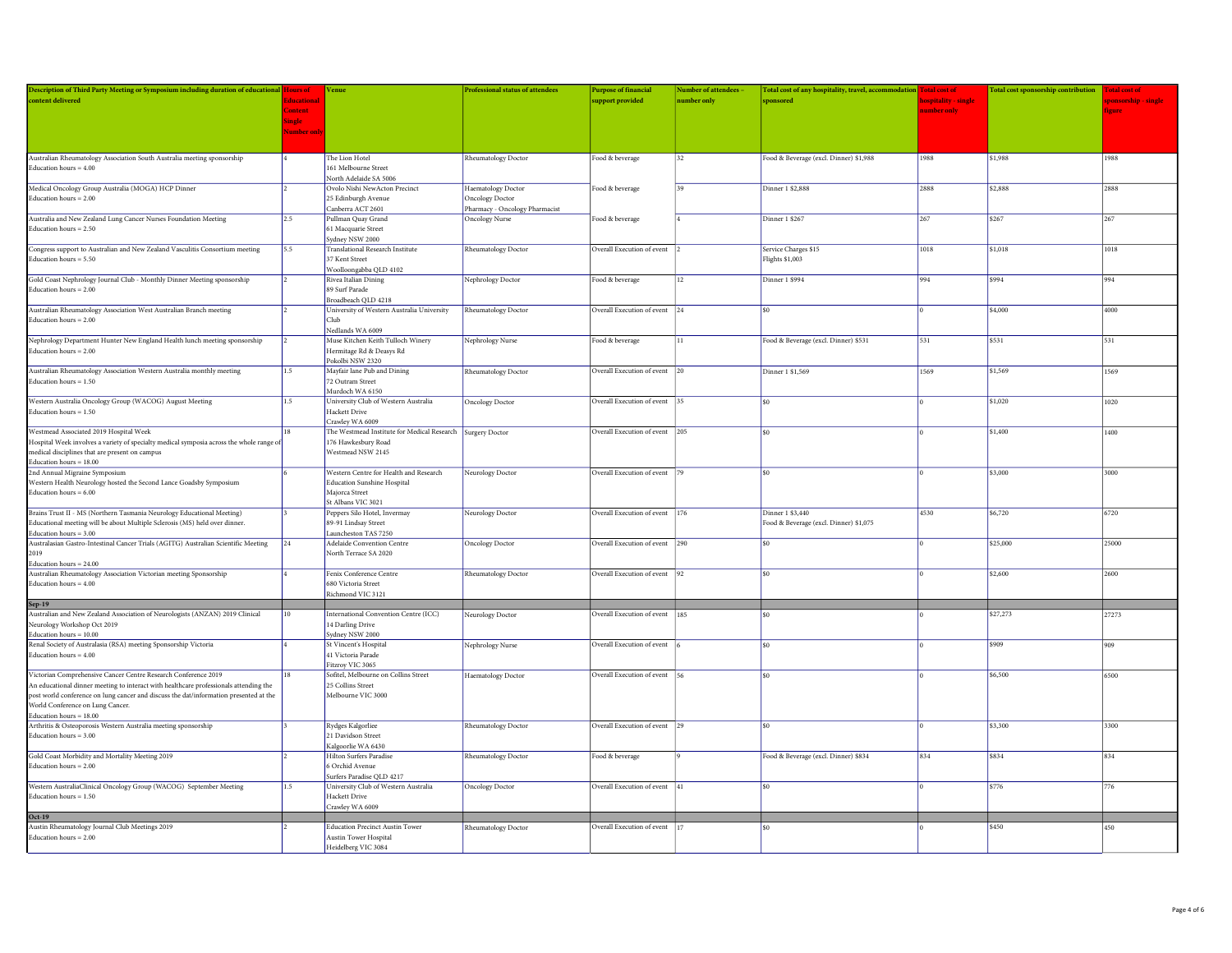| Description of Third Party Meeting or Symposium including duration of educational Hours of          |                   | Venue                                                         | <b>Professional status of attendees</b> | <b>Purpose of financial</b>    | <b>Number of attendees</b> | Total cost of any hospitality, travel, accommodation Total cost of |                     | Total cost sponsorship contribution Total cost of |              |
|-----------------------------------------------------------------------------------------------------|-------------------|---------------------------------------------------------------|-----------------------------------------|--------------------------------|----------------------------|--------------------------------------------------------------------|---------------------|---------------------------------------------------|--------------|
| content delivered                                                                                   | <b>Educationa</b> |                                                               |                                         | upport provided                | <b>umber</b> only          | sponsored                                                          | ospitality - single |                                                   | ponsorship - |
|                                                                                                     | Content           |                                                               |                                         |                                |                            |                                                                    | number only         |                                                   | ionre        |
|                                                                                                     | Single            |                                                               |                                         |                                |                            |                                                                    |                     |                                                   |              |
|                                                                                                     | <b>Vumber onl</b> |                                                               |                                         |                                |                            |                                                                    |                     |                                                   |              |
|                                                                                                     |                   |                                                               |                                         |                                |                            |                                                                    |                     |                                                   |              |
|                                                                                                     |                   |                                                               |                                         |                                |                            |                                                                    |                     |                                                   |              |
| Australian Rheumatology Association South Australia meeting sponsorship                             |                   | The Lion Hotel<br>161 Melbourne Street                        | Rheumatology Doctor                     | Food & beverage                | 32                         | Food & Beverage (excl. Dinner) \$1,988                             | 1988                | \$1,988                                           | 1988         |
| Education hours = $4.00$                                                                            |                   | North Adelaide SA 5006                                        |                                         |                                |                            |                                                                    |                     |                                                   |              |
| Medical Oncology Group Australia (MOGA) HCP Dinner                                                  |                   | Ovolo Nishi NewActon Precinct                                 | Haematology Doctor                      | Food & beverage                |                            | Dinner 1 \$2,888                                                   | 2888                | \$2,888                                           | 2888         |
| Education hours $= 2.00$                                                                            |                   | 25 Edinburgh Avenue                                           | Oncology Doctor                         |                                |                            |                                                                    |                     |                                                   |              |
|                                                                                                     |                   | Canberra ACT 2601                                             | Pharmacy - Oncology Pharmacist          |                                |                            |                                                                    |                     |                                                   |              |
| Australia and New Zealand Lung Cancer Nurses Foundation Meeting                                     | 2.5               | Pullman Quay Grand                                            | Oncology Nurse                          | Food & beverage                |                            | Dinner 1 \$267                                                     | 267                 | \$267                                             | 267          |
| Education hours = $2.50$                                                                            |                   | 61 Macquarie Street                                           |                                         |                                |                            |                                                                    |                     |                                                   |              |
|                                                                                                     |                   | Sydney NSW 2000                                               |                                         |                                |                            |                                                                    |                     |                                                   |              |
| Congress support to Australian and New Zealand Vasculitis Consortium meeting                        | 5.5               | <b>Translational Research Institute</b>                       | Rheumatology Doctor                     | Overall Execution of event     |                            | Service Charges \$15                                               | 1018                | \$1,018                                           | 1018         |
| Education hours = $5.50$                                                                            |                   | 37 Kent Street                                                |                                         |                                |                            | Flights \$1,003                                                    |                     |                                                   |              |
|                                                                                                     |                   | Woolloongabba QLD 4102                                        |                                         |                                |                            |                                                                    |                     |                                                   |              |
| Gold Coast Nephrology Journal Club - Monthly Dinner Meeting sponsorship                             |                   | Rivea Italian Dining                                          | Nephrology Doctor                       | Food & beverage                | 12.                        | Dinner 1 \$994                                                     | 994                 | \$994                                             | 994          |
| Education hours $= 2.00$                                                                            |                   | 89 Surf Parade                                                |                                         |                                |                            |                                                                    |                     |                                                   |              |
|                                                                                                     |                   | Broadbeach QLD 4218                                           |                                         |                                |                            |                                                                    |                     |                                                   |              |
| Australian Rheumatology Association West Australian Branch meeting                                  |                   | University of Western Australia University                    | Rheumatology Doctor                     | Overall Execution of event 24  |                            | $\sin$                                                             |                     | \$4,000                                           | 4000         |
| Education hours $= 2.00$                                                                            |                   | Club                                                          |                                         |                                |                            |                                                                    |                     |                                                   |              |
|                                                                                                     |                   | Nedlands WA 6009                                              |                                         |                                | 11                         |                                                                    | 531                 | \$531                                             |              |
| Nephrology Department Hunter New England Health lunch meeting sponsorship<br>Education hours = 2.00 |                   | Muse Kitchen Keith Tulloch Winery<br>Hermitage Rd & Deasys Rd | Nephrology Nurse                        | Food & beverage                |                            | Food & Beverage (excl. Dinner) \$531                               |                     |                                                   | 531          |
|                                                                                                     |                   | Pokolbi NSW 2320                                              |                                         |                                |                            |                                                                    |                     |                                                   |              |
| Australian Rheumatology Association Western Australia monthly meeting                               | 15                | Mayfair lane Pub and Dining                                   | Rheumatology Doctor                     | Overall Execution of event 20  |                            | Dinner 1 \$1,569                                                   | 1569                | \$1,569                                           | 1569         |
| Education hours $= 1.50$                                                                            |                   | 72 Outram Street                                              |                                         |                                |                            |                                                                    |                     |                                                   |              |
|                                                                                                     |                   | Murdoch WA 6150                                               |                                         |                                |                            |                                                                    |                     |                                                   |              |
| Western Australia Oncology Group (WACOG) August Meeting                                             | 1.5               | University Club of Western Australia                          | Oncology Doctor                         | Overall Execution of event     |                            | \$0                                                                |                     | \$1.020                                           | 1020         |
| Education hours = $1.50$                                                                            |                   | Hackett Drive                                                 |                                         |                                |                            |                                                                    |                     |                                                   |              |
|                                                                                                     |                   | Crawley WA 6009                                               |                                         |                                |                            |                                                                    |                     |                                                   |              |
| Westmead Associated 2019 Hospital Week                                                              |                   | The Westmead Institute for Medical Research Surgery Doctor    |                                         | Overall Execution of event     | 205                        | \$0                                                                |                     | \$1.400                                           | 1400         |
| Hospital Week involves a variety of specialty medical symposia across the whole range of            |                   | 176 Hawkesbury Road                                           |                                         |                                |                            |                                                                    |                     |                                                   |              |
| medical disciplines that are present on campus                                                      |                   | Westmead NSW 2145                                             |                                         |                                |                            |                                                                    |                     |                                                   |              |
| Education hours $= 18.00$                                                                           |                   |                                                               |                                         |                                |                            |                                                                    |                     |                                                   |              |
| 2nd Annual Migraine Symposium                                                                       |                   | Western Centre for Health and Research                        | Neurology Doctor                        | Overall Execution of event     |                            | \$0                                                                |                     | \$3,000                                           | 3000         |
| Western Health Neurology hosted the Second Lance Goadsby Symposium                                  |                   | <b>Education Sunshine Hospital</b>                            |                                         |                                |                            |                                                                    |                     |                                                   |              |
| Education hours $= 6.00$                                                                            |                   | Majorca Street                                                |                                         |                                |                            |                                                                    |                     |                                                   |              |
| Brains Trust II - MS (Northern Tasmania Neurology Educational Meeting)                              |                   | St Albans VIC 3021                                            |                                         |                                | 176                        | Dinner 1 \$3,440                                                   | 4530                | \$6,720                                           | 6720         |
| Educational meeting will be about Multiple Sclerosis (MS) held over dinner.                         |                   | Peppers Silo Hotel, Invermay<br>89-91 Lindsay Street          | Neurology Doctor                        | Overall Execution of event     |                            | Food & Beverage (excl. Dinner) \$1,075                             |                     |                                                   |              |
| Education hours $= 3.00$                                                                            |                   | Launcheston TAS 7250                                          |                                         |                                |                            |                                                                    |                     |                                                   |              |
| Australasian Gastro-Intestinal Cancer Trials (AGITG) Australian Scientific Meeting                  | 24                | Adelaide Convention Centre                                    | Oncology Doctor                         | Overall Execution of event 290 |                            |                                                                    |                     | \$25,000                                          | 25000        |
| 2019                                                                                                |                   | North Terrace SA 2020                                         |                                         |                                |                            |                                                                    |                     |                                                   |              |
| Education hours = $24.00$                                                                           |                   |                                                               |                                         |                                |                            |                                                                    |                     |                                                   |              |
| Australian Rheumatology Association Victorian meeting Sponsorship                                   |                   | Fenix Conference Centre                                       | Rheumatology Doctor                     | Overall Execution of event 92  |                            | \$0                                                                |                     | \$2,600                                           | 2600         |
| Education hours $= 4.00$                                                                            |                   | 680 Victoria Street                                           |                                         |                                |                            |                                                                    |                     |                                                   |              |
|                                                                                                     |                   | Richmond VIC 3121                                             |                                         |                                |                            |                                                                    |                     |                                                   |              |
| Sep-19<br>Australian and New Zealand Association of Neurologists (ANZAN) 2019 Clinical              |                   |                                                               |                                         |                                |                            |                                                                    |                     |                                                   |              |
|                                                                                                     | 10                | International Convention Centre (ICC)                         | Neurology Doctor                        | Overall Execution of event     | 185                        |                                                                    |                     | \$27,273                                          | 27273        |
| Neurology Workshop Oct 2019                                                                         |                   | 14 Darling Drive                                              |                                         |                                |                            |                                                                    |                     |                                                   |              |
| Education hours $=10.00\,$                                                                          |                   | Sydney NSW 2000                                               |                                         |                                |                            |                                                                    |                     |                                                   |              |
| Renal Society of Australasia (RSA) meeting Sponsorship Victoria<br>Education hours = $4.00$         |                   | St Vincent's Hospital<br>41 Victoria Parade                   | Nephrology Nurse                        | Overall Execution of event     |                            | ¢۵                                                                 |                     | \$909                                             | 909          |
|                                                                                                     |                   | Fitzroy VIC 3065                                              |                                         |                                |                            |                                                                    |                     |                                                   |              |
| Victorian Comprehensive Cancer Centre Research Conference 2019                                      | 18                | Sofitel, Melbourne on Collins Street                          | Haematology Doctor                      | Overall Execution of event     |                            | \$0                                                                |                     | \$6,500                                           | 6500         |
| An educational dinner meeting to interact with healthcare professionals attending the               |                   | 25 Collins Street                                             |                                         |                                |                            |                                                                    |                     |                                                   |              |
| post world conference on lung cancer and discuss the dat/information presented at the               |                   | Melbourne VIC 3000                                            |                                         |                                |                            |                                                                    |                     |                                                   |              |
| World Conference on Lung Cancer.                                                                    |                   |                                                               |                                         |                                |                            |                                                                    |                     |                                                   |              |
| Education hours = $18.00$                                                                           |                   |                                                               |                                         |                                |                            |                                                                    |                     |                                                   |              |
| Arthritis & Osteoporosis Western Australia meeting sponsorship                                      |                   | Rydges Kalgorliee                                             | Rheumatology Doctor                     | Overall Execution of event     | 129                        | \$0                                                                |                     | \$3,300                                           | 3300         |
| Education hours $= 3.00$                                                                            |                   | 21 Davidson Street                                            |                                         |                                |                            |                                                                    |                     |                                                   |              |
|                                                                                                     |                   | Kalgoorlie WA 6430                                            |                                         |                                |                            |                                                                    |                     |                                                   |              |
| Gold Coast Morbidity and Mortality Meeting 2019                                                     |                   | Hilton Surfers Paradise                                       | Rheumatology Doctor                     | Food & beverage                |                            | Food & Beverage (excl. Dinner) \$834                               | 834                 | \$834                                             | 834          |
| Education hours $= 2.00$                                                                            |                   | 6 Orchid Avenue                                               |                                         |                                |                            |                                                                    |                     |                                                   |              |
|                                                                                                     |                   | Surfers Paradise QLD 4217                                     |                                         |                                |                            |                                                                    |                     |                                                   |              |
| Western AustraliaClinical Oncology Group (WACOG) September Meeting                                  | 1.5               | University Club of Western Australia                          | Oncology Doctor                         | Overall Execution of event     | 41                         | \$0                                                                |                     | \$776                                             | 776          |
| Education hours $= 1.50$                                                                            |                   | Hackett Drive<br>Crawley WA 6009                              |                                         |                                |                            |                                                                    |                     |                                                   |              |
|                                                                                                     |                   |                                                               |                                         |                                |                            |                                                                    |                     |                                                   |              |
| Oct-19<br>Austin Rheumatology Journal Club Meetings 2019                                            |                   | <b>Education Precinct Austin Tower</b>                        | Rheumatology Doctor                     | Overall Execution of event     |                            |                                                                    |                     | \$450                                             | 450          |
| Education hours $= 2.00$                                                                            |                   | Austin Tower Hospital                                         |                                         |                                |                            |                                                                    |                     |                                                   |              |
|                                                                                                     |                   | Heidelberg VIC 3084                                           |                                         |                                |                            |                                                                    |                     |                                                   |              |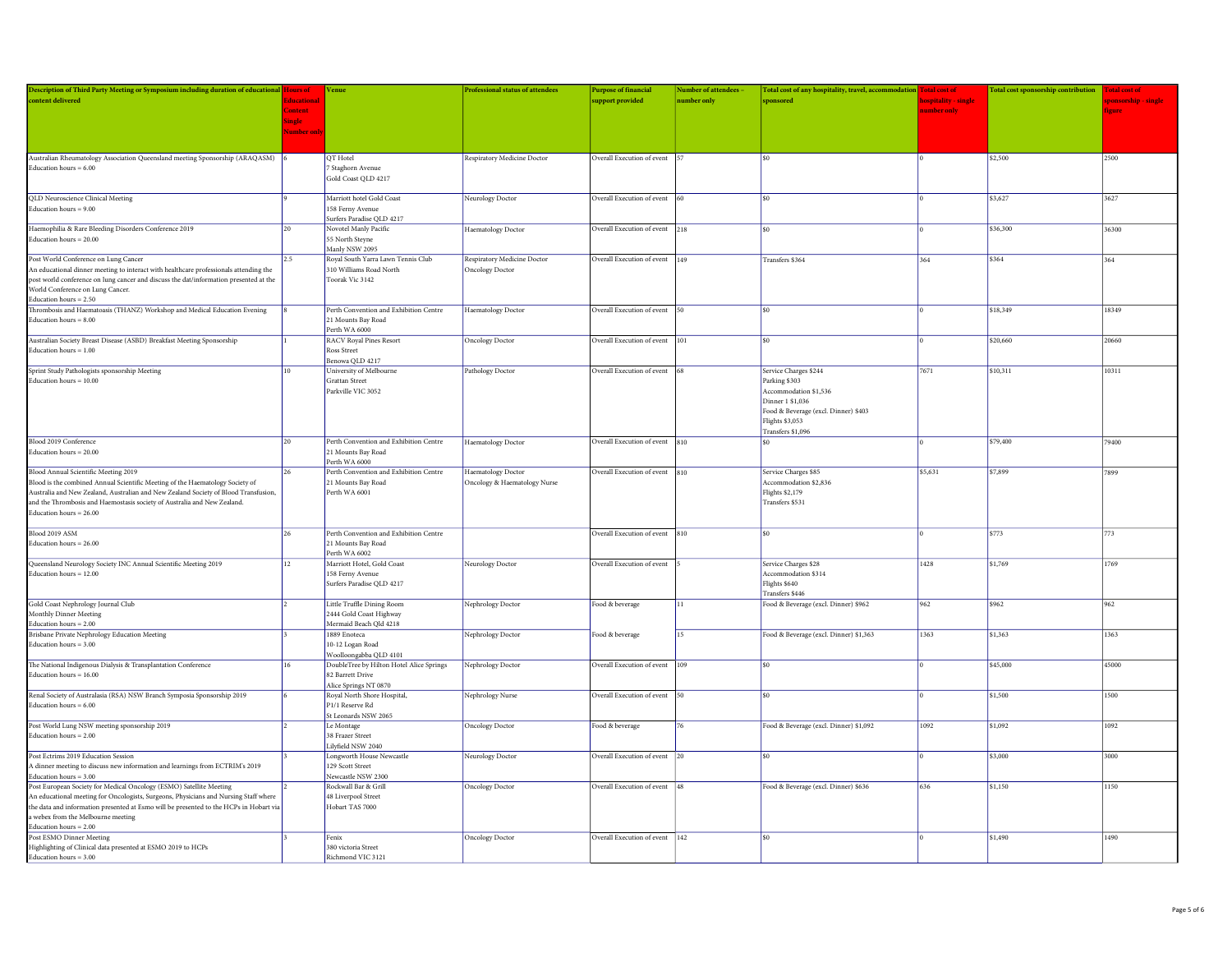| Description of Third Party Meeting or Symposium including duration of educational Hours of |                   | Venue                                                        | <b>Professional status of attendees</b> | <b>Purpose of financial</b>    | <b>Number of attendees</b> | Total cost of any hospitality, travel, accommodation Total cost of |                     | Total cost sponsorship contribution Total cost of |               |
|--------------------------------------------------------------------------------------------|-------------------|--------------------------------------------------------------|-----------------------------------------|--------------------------------|----------------------------|--------------------------------------------------------------------|---------------------|---------------------------------------------------|---------------|
| content delivered                                                                          | <b>Educations</b> |                                                              |                                         | upport provided                | <b>umber</b> only          | sponsored                                                          | ospitality - single |                                                   |               |
|                                                                                            | Content           |                                                              |                                         |                                |                            |                                                                    | umber only          |                                                   | ieure         |
|                                                                                            | Single            |                                                              |                                         |                                |                            |                                                                    |                     |                                                   |               |
|                                                                                            | Vumber or         |                                                              |                                         |                                |                            |                                                                    |                     |                                                   |               |
|                                                                                            |                   |                                                              |                                         |                                |                            |                                                                    |                     |                                                   |               |
|                                                                                            |                   |                                                              |                                         |                                |                            |                                                                    |                     |                                                   |               |
| Australian Rheumatology Association Queensland meeting Sponsorship (ARAQASM) 6             |                   | QT Hotel                                                     | Respiratory Medicine Doctor             | Overall Execution of event     |                            | ৎበ                                                                 |                     | \$2,500                                           | 2500          |
| Education hours $= 6.00$                                                                   |                   | 7 Staghorn Avenue                                            |                                         |                                |                            |                                                                    |                     |                                                   |               |
|                                                                                            |                   | Gold Coast QLD 4217                                          |                                         |                                |                            |                                                                    |                     |                                                   |               |
|                                                                                            |                   |                                                              |                                         |                                |                            |                                                                    |                     |                                                   |               |
| QLD Neuroscience Clinical Meeting                                                          |                   | Marriott hotel Gold Coast                                    | Neurology Doctor                        | Overall Execution of event 60  |                            | $$^{6}$                                                            |                     | \$3,627                                           | 3627          |
| Education hours = $9.00$                                                                   |                   | 158 Ferny Avenue                                             |                                         |                                |                            |                                                                    |                     |                                                   |               |
|                                                                                            |                   | Surfers Paradise QLD 4217                                    |                                         |                                |                            |                                                                    |                     |                                                   |               |
| Haemophilia & Rare Bleeding Disorders Conference 2019                                      | 20                | Novotel Manly Pacific                                        | Haematology Doctor                      | Overall Execution of event 218 |                            | \$0                                                                |                     | \$36,300                                          | 36300         |
| Education hours $= 20.00$                                                                  |                   | 55 North Steyne                                              |                                         |                                |                            |                                                                    |                     |                                                   |               |
|                                                                                            |                   | Manly NSW 2095                                               |                                         |                                |                            |                                                                    |                     |                                                   |               |
| Post World Conference on Lung Cancer                                                       | 2.5               | Royal South Yarra Lawn Tennis Club                           | Respiratory Medicine Doctor             | Overall Execution of event     | 149                        | Transfers \$364                                                    | 364                 | \$364                                             | 364           |
| An educational dinner meeting to interact with healthcare professionals attending the      |                   | 310 Williams Road North                                      | <b>Oncology Doctor</b>                  |                                |                            |                                                                    |                     |                                                   |               |
| post world conference on lung cancer and discuss the dat/information presented at the      |                   | Toorak Vic 3142                                              |                                         |                                |                            |                                                                    |                     |                                                   |               |
| World Conference on Lung Cancer.                                                           |                   |                                                              |                                         |                                |                            |                                                                    |                     |                                                   |               |
| Education hours $=2.50\,$                                                                  |                   |                                                              |                                         |                                |                            |                                                                    |                     |                                                   |               |
|                                                                                            |                   |                                                              |                                         |                                |                            | ¢۵                                                                 |                     |                                                   |               |
| Thrombosis and Haematoasis (THANZ) Workshop and Medical Education Evening                  |                   | Perth Convention and Exhibition Centre<br>21 Mounts Bay Road | Haematology Doctor                      | Overall Execution of event 50  |                            |                                                                    |                     | \$18,349                                          | 18349         |
| Education hours $= 8.00$                                                                   |                   |                                                              |                                         |                                |                            |                                                                    |                     |                                                   |               |
|                                                                                            |                   | Perth WA 6000                                                |                                         |                                |                            |                                                                    |                     |                                                   |               |
| Australian Society Breast Disease (ASBD) Breakfast Meeting Sponsorship                     |                   | <b>RACV Royal Pines Resort</b>                               | Oncology Doctor                         | Overall Execution of event     | 101                        | \$0                                                                |                     | \$20,660                                          | 20660         |
| Education hours $= 1.00$                                                                   |                   | Ross Street                                                  |                                         |                                |                            |                                                                    |                     |                                                   |               |
|                                                                                            |                   | Benowa QLD 4217                                              |                                         |                                |                            |                                                                    |                     |                                                   |               |
| Sprint Study Pathologists sponsorship Meeting                                              | 10 <sup>10</sup>  | University of Melbourne                                      | Pathology Doctor                        | Overall Execution of event     |                            | Service Charges \$244                                              | 7671                | \$10,311                                          | 10311         |
| Education hours $= 10.00$                                                                  |                   | Grattan Street                                               |                                         |                                |                            | Parking \$303                                                      |                     |                                                   |               |
|                                                                                            |                   | Parkville VIC 3052                                           |                                         |                                |                            | Accommodation \$1,536                                              |                     |                                                   |               |
|                                                                                            |                   |                                                              |                                         |                                |                            | Dinner 1 \$1,036                                                   |                     |                                                   |               |
|                                                                                            |                   |                                                              |                                         |                                |                            | Food & Beverage (excl. Dinner) \$403                               |                     |                                                   |               |
|                                                                                            |                   |                                                              |                                         |                                |                            | Flights \$3,053                                                    |                     |                                                   |               |
|                                                                                            |                   |                                                              |                                         |                                |                            | Transfers \$1,096                                                  |                     |                                                   |               |
| Blood 2019 Conference                                                                      | 20                | Perth Convention and Exhibition Centre                       | Haematology Doctor                      | Overall Execution of event     | 810                        | ¢۵                                                                 |                     | \$79,400                                          | 79400         |
| Education hours $= 20.00$                                                                  |                   | 21 Mounts Bay Road                                           |                                         |                                |                            |                                                                    |                     |                                                   |               |
|                                                                                            |                   | Perth WA 6000                                                |                                         |                                |                            |                                                                    |                     |                                                   |               |
| Blood Annual Scientific Meeting 2019                                                       | 26                | Perth Convention and Exhibition Centre                       | Haematology Doctor                      | Overall Execution of event 810 |                            | Service Charges \$85                                               | \$5,631             | \$7,899                                           | 7899          |
|                                                                                            |                   |                                                              |                                         |                                |                            | ccommodation \$2.836                                               |                     |                                                   |               |
| Blood is the combined Annual Scientific Meeting of the Haematology Society of              |                   | 21 Mounts Bay Road<br>Perth WA 6001                          | Oncology & Haematology Nurse            |                                |                            |                                                                    |                     |                                                   |               |
| Australia and New Zealand, Australian and New Zealand Society of Blood Transfusion,        |                   |                                                              |                                         |                                |                            | Flights \$2,179                                                    |                     |                                                   |               |
| and the Thrombosis and Haemostasis society of Australia and New Zealand.                   |                   |                                                              |                                         |                                |                            | Transfers \$531                                                    |                     |                                                   |               |
| Education hours = $26.00$                                                                  |                   |                                                              |                                         |                                |                            |                                                                    |                     |                                                   |               |
|                                                                                            |                   |                                                              |                                         |                                |                            |                                                                    |                     |                                                   |               |
| Blood 2019 ASM                                                                             | 26                | Perth Convention and Exhibition Centre                       |                                         | Overall Execution of event 810 |                            | \$0\$                                                              |                     | \$773                                             | 773           |
| Education hours = $26.00$                                                                  |                   | 21 Mounts Bay Road                                           |                                         |                                |                            |                                                                    |                     |                                                   |               |
|                                                                                            |                   | Perth WA 6002                                                |                                         |                                |                            |                                                                    |                     |                                                   |               |
| Queensland Neurology Society INC Annual Scientific Meeting 2019                            | 12                | Marriott Hotel, Gold Coast                                   | Neurology Doctor                        | Overall Execution of event     |                            | Service Charges \$28                                               | 1428                | \$1,769                                           | 1769          |
| Education hours = $12.00$                                                                  |                   | 158 Ferny Avenue                                             |                                         |                                |                            | Accommodation \$314                                                |                     |                                                   |               |
|                                                                                            |                   | Surfers Paradise QLD 4217                                    |                                         |                                |                            | Flights \$640                                                      |                     |                                                   |               |
|                                                                                            |                   |                                                              |                                         |                                |                            | <b>Transfers \$446</b>                                             |                     |                                                   |               |
| Gold Coast Nephrology Journal Club                                                         |                   | Little Truffle Dining Room                                   | Nephrology Doctor                       | Food & beverage                | 11                         | Food & Beverage (excl. Dinner) \$962                               | 962                 | \$962                                             | 962           |
| Monthly Dinner Meeting                                                                     |                   | 2444 Gold Coast Highway                                      |                                         |                                |                            |                                                                    |                     |                                                   |               |
| Education hours $= 2.00$                                                                   |                   | Mermaid Beach Qld 4218                                       |                                         |                                |                            |                                                                    |                     |                                                   |               |
| <b>Brisbane Private Nephrology Education Meeting</b>                                       |                   | 1889 Enoteca                                                 | Nephrology Doctor                       | Food & beverage                | 15                         | Food & Beverage (excl. Dinner) \$1,363                             | 1363                | \$1,363                                           | 1363          |
| Education hours $= 3.00$                                                                   |                   | 10-12 Logan Road                                             |                                         |                                |                            |                                                                    |                     |                                                   |               |
|                                                                                            |                   | Woolloongabba QLD 4101                                       |                                         |                                |                            |                                                                    |                     |                                                   |               |
| The National Indigenous Dialysis & Transplantation Conference                              | 16                | DoubleTree by Hilton Hotel Alice Springs                     | Nephrology Doctor                       | Overall Execution of event     | 109                        | \$0                                                                |                     | \$45,000                                          | 45000         |
| Education hours $= 16.00$                                                                  |                   | 82 Barrett Drive                                             |                                         |                                |                            |                                                                    |                     |                                                   |               |
|                                                                                            |                   | Alice Springs NT 0870                                        |                                         |                                |                            |                                                                    |                     |                                                   |               |
| Renal Society of Australasia (RSA) NSW Branch Symposia Sponsorship 2019                    |                   |                                                              |                                         |                                |                            | ¢۵                                                                 |                     | \$1,500                                           | 1500          |
| Education hours = $6.00$                                                                   |                   | Royal North Shore Hospital,<br>P1/1 Reserve Rd               | Nephrology Nurse                        | Overall Execution of event 50  |                            |                                                                    |                     |                                                   |               |
|                                                                                            |                   | St Leonards NSW 2065                                         |                                         |                                |                            |                                                                    |                     |                                                   |               |
|                                                                                            |                   |                                                              |                                         |                                |                            |                                                                    |                     |                                                   |               |
| Post World Lung NSW meeting sponsorship 2019                                               |                   | Le Montage                                                   | Oncology Doctor                         | Food & beverage                |                            | Food & Beverage (excl. Dinner) \$1,092                             | 1092                | \$1,092                                           | $\sqrt{1092}$ |
| Education hours = $2.00$                                                                   |                   | 38 Frazer Street                                             |                                         |                                |                            |                                                                    |                     |                                                   |               |
|                                                                                            |                   | Lilyfield NSW 2040                                           |                                         |                                |                            |                                                                    |                     |                                                   |               |
| Post Ectrims 2019 Education Session                                                        |                   | Longworth House Newcastle                                    | Neurology Doctor                        | Overall Execution of event     |                            | $\sin$                                                             |                     | \$3,000                                           | 3000          |
| A dinner meeting to discuss new information and learnings from ECTRIM's 2019               |                   | 129 Scott Street                                             |                                         |                                |                            |                                                                    |                     |                                                   |               |
| Education hours = $3.00$                                                                   |                   | Newcastle NSW 2300                                           |                                         |                                |                            |                                                                    |                     |                                                   |               |
| Post European Society for Medical Oncology (ESMO) Satellite Meeting                        |                   | Rockwall Bar & Grill                                         | Oncology Doctor                         | Overall Execution of event     | 48                         | Food & Beverage (excl. Dinner) \$636                               | 636                 | \$1,150                                           | 1150          |
| An educational meeting for Oncologists, Surgeons, Physicians and Nursing Staff where       |                   | 48 Liverpool Street                                          |                                         |                                |                            |                                                                    |                     |                                                   |               |
| the data and information presented at Esmo will be presented to the HCPs in Hobart via     |                   | Hobart TAS 7000                                              |                                         |                                |                            |                                                                    |                     |                                                   |               |
| a webex from the Melbourne meeting                                                         |                   |                                                              |                                         |                                |                            |                                                                    |                     |                                                   |               |
|                                                                                            |                   |                                                              |                                         |                                |                            |                                                                    |                     |                                                   |               |
| Education hours = 2.00<br>Post ESMO Dinner Meeting                                         |                   | Fenix                                                        | Oncology Doctor                         | Overall Execution of event     | 142                        |                                                                    |                     | \$1,490                                           | 1490          |
| Highlighting of Clinical data presented at ESMO 2019 to HCPs                               |                   | 380 victoria Street                                          |                                         |                                |                            |                                                                    |                     |                                                   |               |
| Education hours $= 3.00$                                                                   |                   | Richmond VIC 3121                                            |                                         |                                |                            |                                                                    |                     |                                                   |               |